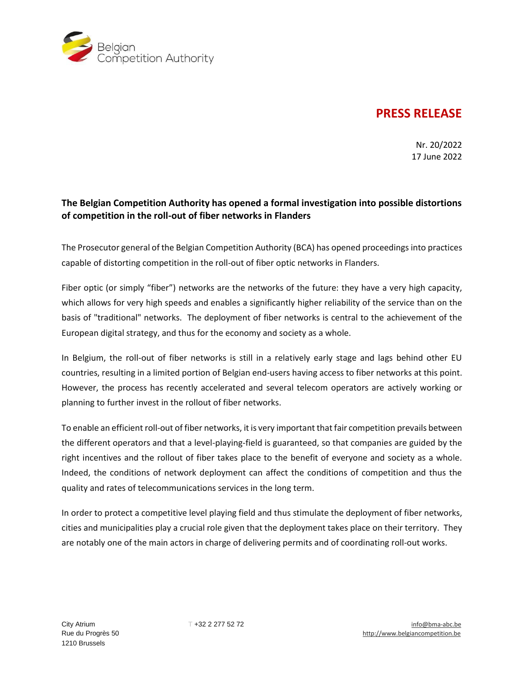

## **PRESS RELEASE**

Nr. 20/2022 17 June 2022

## **The Belgian Competition Authority has opened a formal investigation into possible distortions of competition in the roll-out of fiber networks in Flanders**

The Prosecutor general of the Belgian Competition Authority (BCA) has opened proceedings into practices capable of distorting competition in the roll-out of fiber optic networks in Flanders.

Fiber optic (or simply "fiber") networks are the networks of the future: they have a very high capacity, which allows for very high speeds and enables a significantly higher reliability of the service than on the basis of "traditional" networks. The deployment of fiber networks is central to the achievement of the European digital strategy, and thus for the economy and society as a whole.

In Belgium, the roll-out of fiber networks is still in a relatively early stage and lags behind other EU countries, resulting in a limited portion of Belgian end-users having access to fiber networks at this point. However, the process has recently accelerated and several telecom operators are actively working or planning to further invest in the rollout of fiber networks.

To enable an efficient roll-out of fiber networks, it is very important that fair competition prevails between the different operators and that a level-playing-field is guaranteed, so that companies are guided by the right incentives and the rollout of fiber takes place to the benefit of everyone and society as a whole. Indeed, the conditions of network deployment can affect the conditions of competition and thus the quality and rates of telecommunications services in the long term.

In order to protect a competitive level playing field and thus stimulate the deployment of fiber networks, cities and municipalities play a crucial role given that the deployment takes place on their territory. They are notably one of the main actors in charge of delivering permits and of coordinating roll-out works.